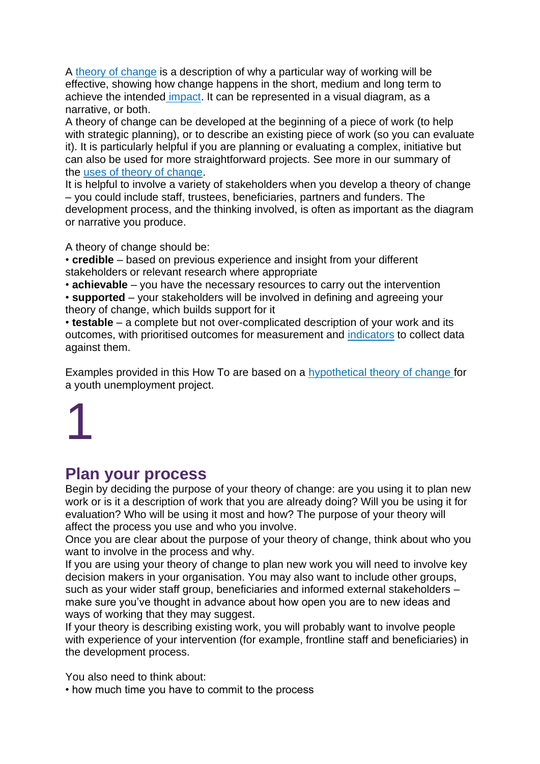A [theory of change](https://knowhow.ncvo.org.uk/organisation/impact/plan-your-impact-and-evaluation/identify-the-difference-you-want-to-make-1/uses-of-theory-of-change) is a description of why a particular way of working will be effective, showing how change happens in the short, medium and long term to achieve the intended [impact.](https://knowhow.ncvo.org.uk/organisation/impact/plan-your-impact-and-evaluation/identify-the-difference-you-want-to-make-1/uses-of-theory-of-change) It can be represented in a visual diagram, as a narrative, or both.

A theory of change can be developed at the beginning of a piece of work (to help with strategic planning), or to describe an existing piece of work (so you can evaluate it). It is particularly helpful if you are planning or evaluating a complex, initiative but can also be used for more straightforward projects. See more in our summary of the [uses of theory of change.](https://knowhow.ncvo.org.uk/organisation/impact/plan-your-impact-and-evaluation/identify-the-difference-you-want-to-make-1/uses-of-theory-of-change)

It is helpful to involve a variety of stakeholders when you develop a theory of change – you could include staff, trustees, beneficiaries, partners and funders. The development process, and the thinking involved, is often as important as the diagram or narrative you produce.

A theory of change should be:

• **credible** – based on previous experience and insight from your different stakeholders or relevant research where appropriate

• **achievable** – you have the necessary resources to carry out the intervention

• **supported** – your stakeholders will be involved in defining and agreeing your theory of change, which builds support for it

• **testable** – a complete but not over-complicated description of your work and its outcomes, with prioritised outcomes for measurement and [indicators](https://knowhow.ncvo.org.uk/organisation/impact/plan-your-impact-and-evaluation/decide-what-to-measure-1) to collect data against them.

Examples provided in this How To are based on a [hypothetical theory of change](https://knowhow.ncvo.org.uk/organisation/impact/plan-your-impact-and-evaluation/identify-the-difference-you-want-to-make-1/example-theories-of-change) for a youth unemployment project.

1

### **Plan your process**

Begin by deciding the purpose of your theory of change: are you using it to plan new work or is it a description of work that you are already doing? Will you be using it for evaluation? Who will be using it most and how? The purpose of your theory will affect the process you use and who you involve.

Once you are clear about the purpose of your theory of change, think about who you want to involve in the process and why.

If you are using your theory of change to plan new work you will need to involve key decision makers in your organisation. You may also want to include other groups, such as your wider staff group, beneficiaries and informed external stakeholders – make sure you've thought in advance about how open you are to new ideas and ways of working that they may suggest.

If your theory is describing existing work, you will probably want to involve people with experience of your intervention (for example, frontline staff and beneficiaries) in the development process.

You also need to think about:

• how much time you have to commit to the process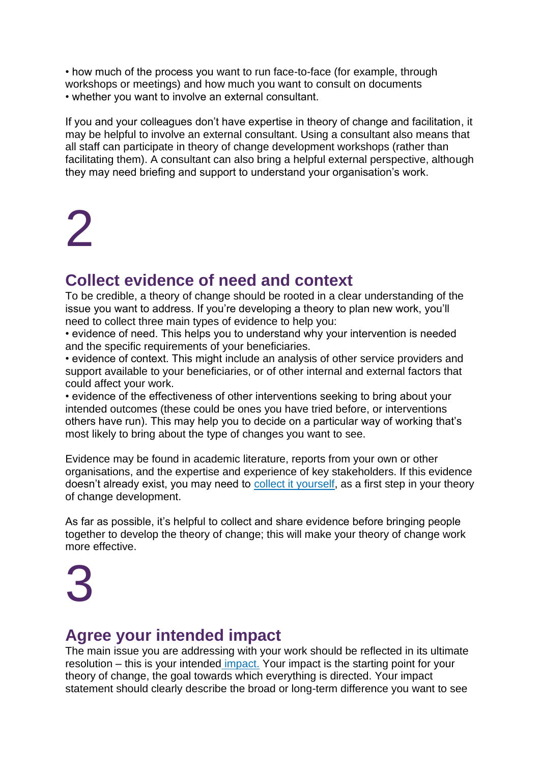• how much of the process you want to run face-to-face (for example, through workshops or meetings) and how much you want to consult on documents • whether you want to involve an external consultant.

If you and your colleagues don't have expertise in theory of change and facilitation, it may be helpful to involve an external consultant. Using a consultant also means that all staff can participate in theory of change development workshops (rather than facilitating them). A consultant can also bring a helpful external perspective, although they may need briefing and support to understand your organisation's work.

## 2

### **Collect evidence of need and context**

To be credible, a theory of change should be rooted in a clear understanding of the issue you want to address. If you're developing a theory to plan new work, you'll need to collect three main types of evidence to help you:

• evidence of need. This helps you to understand why your intervention is needed and the specific requirements of your beneficiaries.

• evidence of context. This might include an analysis of other service providers and support available to your beneficiaries, or of other internal and external factors that could affect your work.

• evidence of the effectiveness of other interventions seeking to bring about your intended outcomes (these could be ones you have tried before, or interventions others have run). This may help you to decide on a particular way of working that's most likely to bring about the type of changes you want to see.

Evidence may be found in academic literature, reports from your own or other organisations, and the expertise and experience of key stakeholders. If this evidence doesn't already exist, you may need to [collect it yourself,](https://knowhow.ncvo.org.uk/organisation/impact/plan-your-impact-and-evaluation/understand-the-issue-you-want-to-address) as a first step in your theory of change development.

As far as possible, it's helpful to collect and share evidence before bringing people together to develop the theory of change; this will make your theory of change work more effective.

3

### **Agree your intended impact**

The main issue you are addressing with your work should be reflected in its ultimate resolution – this is your intended [impact.](https://knowhow.ncvo.org.uk/organisation/impact/about-impact-and-evaluation/understanding-the-language-1) Your impact is the starting point for your theory of change, the goal towards which everything is directed. Your impact statement should clearly describe the broad or long-term difference you want to see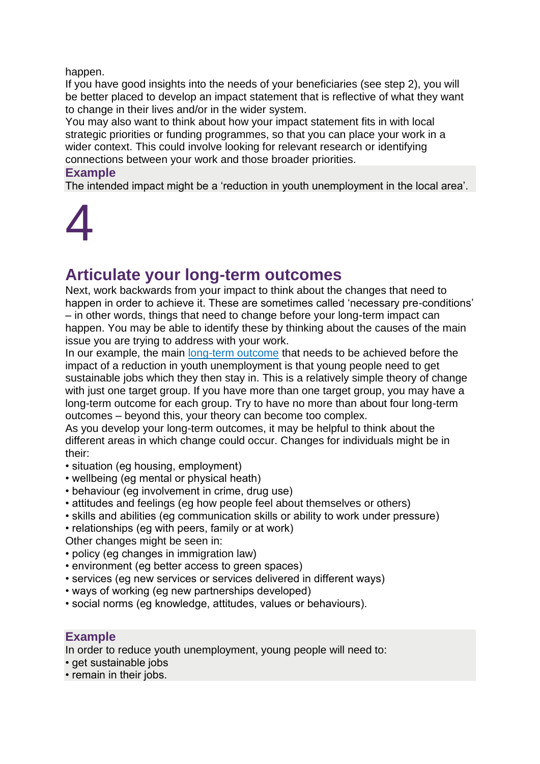#### happen.

If you have good insights into the needs of your beneficiaries (see step 2), you will be better placed to develop an impact statement that is reflective of what they want to change in their lives and/or in the wider system.

You may also want to think about how your impact statement fits in with local strategic priorities or funding programmes, so that you can place your work in a wider context. This could involve looking for relevant research or identifying connections between your work and those broader priorities.

#### **Example**

The intended impact might be a 'reduction in youth unemployment in the local area'.

## 4

### **Articulate your long-term outcomes**

Next, work backwards from your impact to think about the changes that need to happen in order to achieve it. These are sometimes called 'necessary pre-conditions' – in other words, things that need to change before your long-term impact can happen. You may be able to identify these by thinking about the causes of the main issue you are trying to address with your work.

In our example, the main [long-term outcome](https://knowhow.ncvo.org.uk/organisation/impact/about-impact-and-evaluation/understanding-the-language-1) that needs to be achieved before the impact of a reduction in youth unemployment is that young people need to get sustainable jobs which they then stay in. This is a relatively simple theory of change with just one target group. If you have more than one target group, you may have a long-term outcome for each group. Try to have no more than about four long-term outcomes – beyond this, your theory can become too complex.

As you develop your long-term outcomes, it may be helpful to think about the different areas in which change could occur. Changes for individuals might be in their:

- situation (eg housing, employment)
- wellbeing (eg mental or physical heath)
- behaviour (eg involvement in crime, drug use)
- attitudes and feelings (eg how people feel about themselves or others)
- skills and abilities (eg communication skills or ability to work under pressure)
- relationships (eg with peers, family or at work)
- Other changes might be seen in:
- policy (eg changes in immigration law)
- environment (eg better access to green spaces)
- services (eg new services or services delivered in different ways)
- ways of working (eg new partnerships developed)
- social norms (eg knowledge, attitudes, values or behaviours).

### **Example**

In order to reduce youth unemployment, young people will need to:

- get sustainable jobs
- remain in their jobs.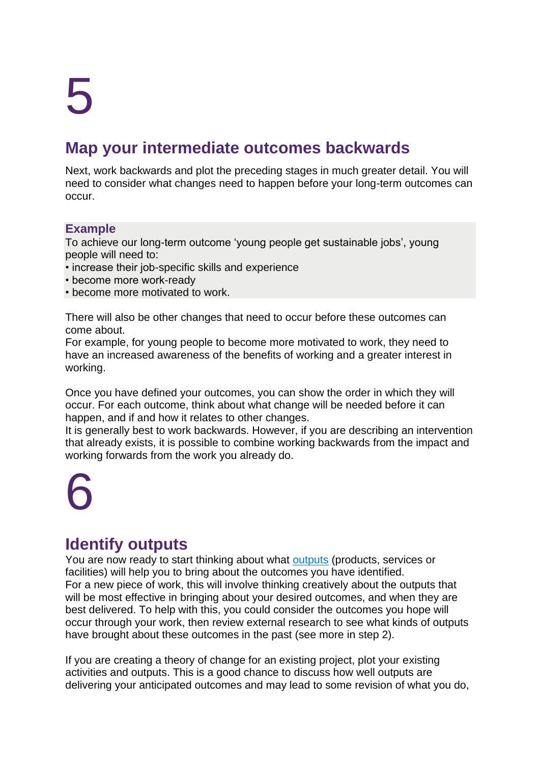# 5

### **Map your intermediate outcomes backwards**

Next, work backwards and plot the preceding stages in much greater detail. You will need to consider what changes need to happen before your long-term outcomes can occur.

### **Example**

To achieve our long-term outcome 'young people get sustainable jobs', young people will need to:

- increase their job-specific skills and experience
- become more work-ready
- become more motivated to work.

There will also be other changes that need to occur before these outcomes can come about.

For example, for young people to become more motivated to work, they need to have an increased awareness of the benefits of working and a greater interest in working.

Once you have defined your outcomes, you can show the order in which they will occur. For each outcome, think about what change will be needed before it can happen, and if and how it relates to other changes.

It is generally best to work backwards. However, if you are describing an intervention that already exists, it is possible to combine working backwards from the impact and working forwards from the work you already do.

## 6

### **Identify outputs**

You are now ready to start thinking about what [outputs](https://knowhow.ncvo.org.uk/organisation/impact/about-impact-and-evaluation/understanding-the-language-1) (products, services or facilities) will help you to bring about the outcomes you have identified. For a new piece of work, this will involve thinking creatively about the outputs that will be most effective in bringing about your desired outcomes, and when they are best delivered. To help with this, you could consider the outcomes you hope will occur through your work, then review external research to see what kinds of outputs have brought about these outcomes in the past (see more in step 2).

If you are creating a theory of change for an existing project, plot your existing activities and outputs. This is a good chance to discuss how well outputs are delivering your anticipated outcomes and may lead to some revision of what you do,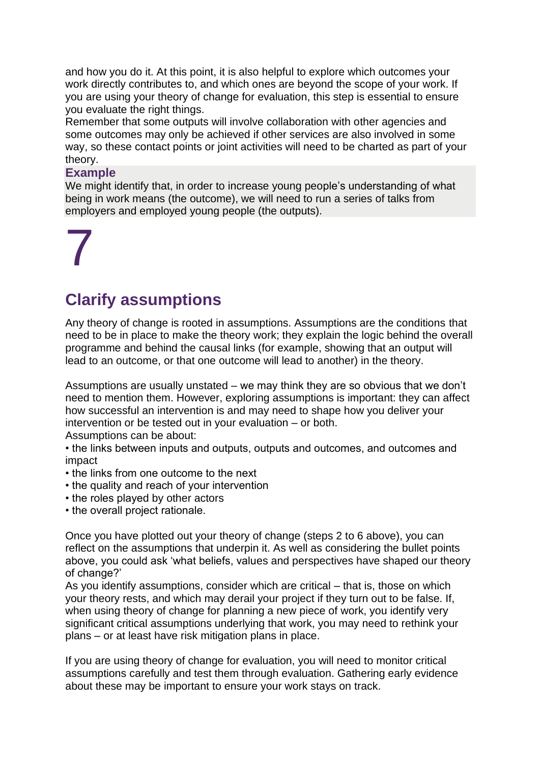and how you do it. At this point, it is also helpful to explore which outcomes your work directly contributes to, and which ones are beyond the scope of your work. If you are using your theory of change for evaluation, this step is essential to ensure you evaluate the right things.

Remember that some outputs will involve collaboration with other agencies and some outcomes may only be achieved if other services are also involved in some way, so these contact points or joint activities will need to be charted as part of your theory.

#### **Example**

We might identify that, in order to increase young people's understanding of what being in work means (the outcome), we will need to run a series of talks from employers and employed young people (the outputs).

## 7

### **Clarify assumptions**

Any theory of change is rooted in assumptions. Assumptions are the conditions that need to be in place to make the theory work; they explain the logic behind the overall programme and behind the causal links (for example, showing that an output will lead to an outcome, or that one outcome will lead to another) in the theory.

Assumptions are usually unstated – we may think they are so obvious that we don't need to mention them. However, exploring assumptions is important: they can affect how successful an intervention is and may need to shape how you deliver your intervention or be tested out in your evaluation – or both.

Assumptions can be about:

• the links between inputs and outputs, outputs and outcomes, and outcomes and impact

- the links from one outcome to the next
- the quality and reach of your intervention
- the roles played by other actors
- the overall project rationale.

Once you have plotted out your theory of change (steps 2 to 6 above), you can reflect on the assumptions that underpin it. As well as considering the bullet points above, you could ask 'what beliefs, values and perspectives have shaped our theory of change?'

As you identify assumptions, consider which are critical – that is, those on which your theory rests, and which may derail your project if they turn out to be false. If, when using theory of change for planning a new piece of work, you identify very significant critical assumptions underlying that work, you may need to rethink your plans – or at least have risk mitigation plans in place.

If you are using theory of change for evaluation, you will need to monitor critical assumptions carefully and test them through evaluation. Gathering early evidence about these may be important to ensure your work stays on track.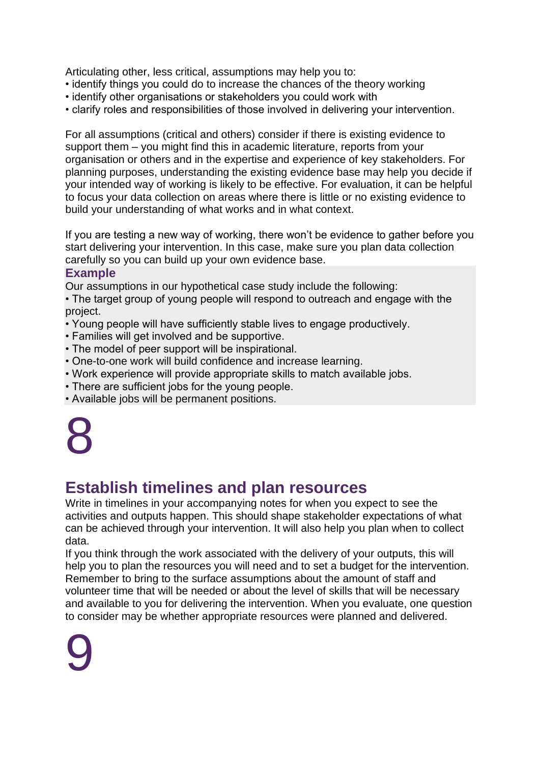Articulating other, less critical, assumptions may help you to:

- identify things you could do to increase the chances of the theory working
- identify other organisations or stakeholders you could work with
- clarify roles and responsibilities of those involved in delivering your intervention.

For all assumptions (critical and others) consider if there is existing evidence to support them – you might find this in academic literature, reports from your organisation or others and in the expertise and experience of key stakeholders. For planning purposes, understanding the existing evidence base may help you decide if your intended way of working is likely to be effective. For evaluation, it can be helpful to focus your data collection on areas where there is little or no existing evidence to build your understanding of what works and in what context.

If you are testing a new way of working, there won't be evidence to gather before you start delivering your intervention. In this case, make sure you plan data collection carefully so you can build up your own evidence base.

### **Example**

Our assumptions in our hypothetical case study include the following:

• The target group of young people will respond to outreach and engage with the project.

- Young people will have sufficiently stable lives to engage productively.
- Families will get involved and be supportive.
- The model of peer support will be inspirational.
- One-to-one work will build confidence and increase learning.
- Work experience will provide appropriate skills to match available jobs.
- There are sufficient jobs for the young people.
- Available jobs will be permanent positions.



## **Establish timelines and plan resources**

Write in timelines in your accompanying notes for when you expect to see the activities and outputs happen. This should shape stakeholder expectations of what can be achieved through your intervention. It will also help you plan when to collect data.

If you think through the work associated with the delivery of your outputs, this will help you to plan the resources you will need and to set a budget for the intervention. Remember to bring to the surface assumptions about the amount of staff and volunteer time that will be needed or about the level of skills that will be necessary and available to you for delivering the intervention. When you evaluate, one question to consider may be whether appropriate resources were planned and delivered.